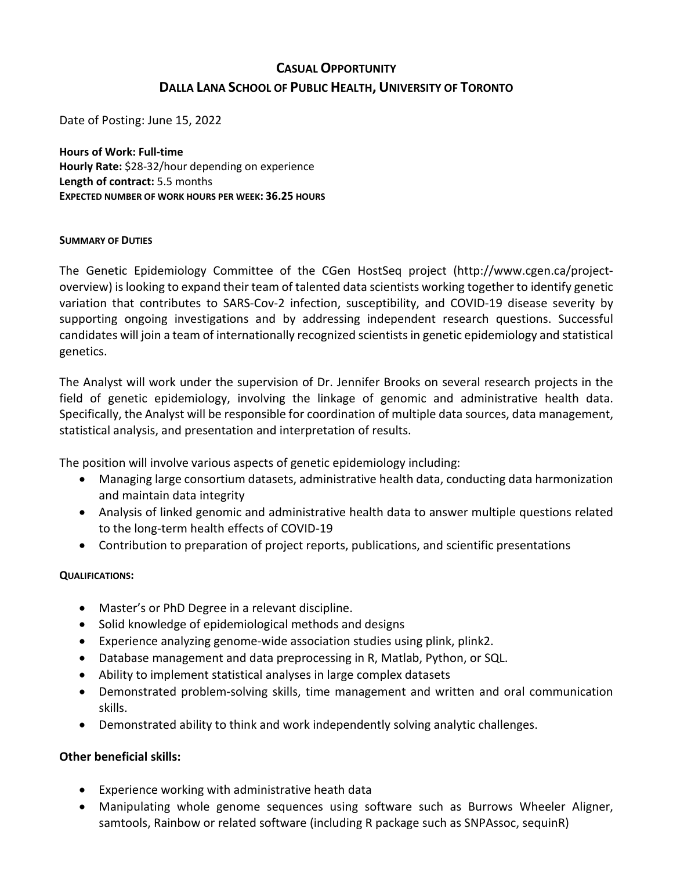# **CASUAL OPPORTUNITY DALLA LANA SCHOOL OF PUBLIC HEALTH, UNIVERSITY OF TORONTO**

Date of Posting: June 15, 2022

**Hours of Work: Full-time Hourly Rate:** \$28-32/hour depending on experience **Length of contract:** 5.5 months **EXPECTED NUMBER OF WORK HOURS PER WEEK: 36.25 HOURS**

#### **SUMMARY OF DUTIES**

The Genetic Epidemiology Committee of the CGen HostSeq project (http://www.cgen.ca/projectoverview) is looking to expand their team of talented data scientists working together to identify genetic variation that contributes to SARS-Cov-2 infection, susceptibility, and COVID-19 disease severity by supporting ongoing investigations and by addressing independent research questions. Successful candidates will join a team of internationally recognized scientists in genetic epidemiology and statistical genetics.

The Analyst will work under the supervision of Dr. Jennifer Brooks on several research projects in the field of genetic epidemiology, involving the linkage of genomic and administrative health data. Specifically, the Analyst will be responsible for coordination of multiple data sources, data management, statistical analysis, and presentation and interpretation of results.

The position will involve various aspects of genetic epidemiology including:

- Managing large consortium datasets, administrative health data, conducting data harmonization and maintain data integrity
- Analysis of linked genomic and administrative health data to answer multiple questions related to the long-term health effects of COVID-19
- Contribution to preparation of project reports, publications, and scientific presentations

## **QUALIFICATIONS:**

- Master's or PhD Degree in a relevant discipline.
- Solid knowledge of epidemiological methods and designs
- Experience analyzing genome-wide association studies using plink, plink2.
- Database management and data preprocessing in R, Matlab, Python, or SQL.
- Ability to implement statistical analyses in large complex datasets
- Demonstrated problem-solving skills, time management and written and oral communication skills.
- Demonstrated ability to think and work independently solving analytic challenges.

## **Other beneficial skills:**

- Experience working with administrative heath data
- Manipulating whole genome sequences using software such as Burrows Wheeler Aligner, samtools, Rainbow or related software (including R package such as SNPAssoc, sequinR)